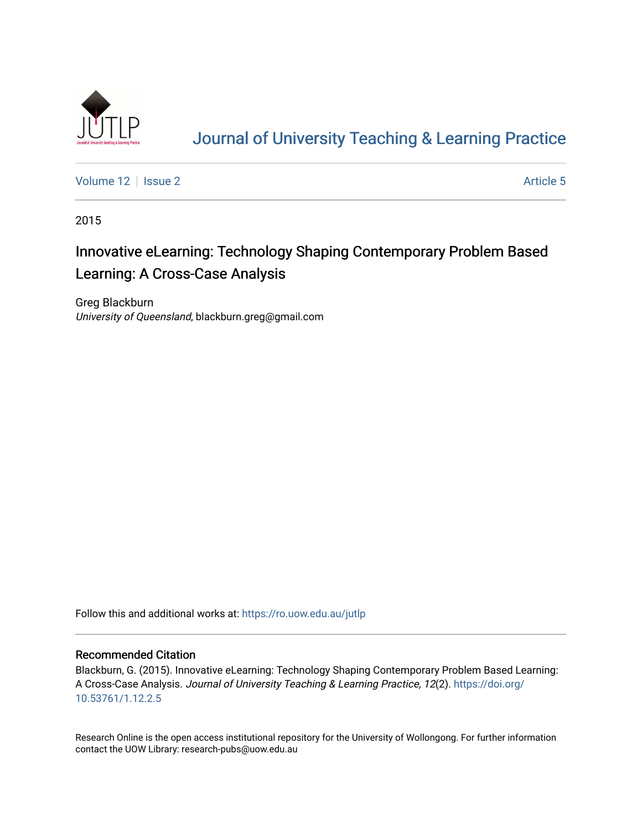

# [Journal of University Teaching & Learning Practice](https://ro.uow.edu.au/jutlp)

[Volume 12](https://ro.uow.edu.au/jutlp/vol12) | [Issue 2](https://ro.uow.edu.au/jutlp/vol12/iss2) Article 5

2015

# Innovative eLearning: Technology Shaping Contemporary Problem Based Learning: A Cross-Case Analysis

Greg Blackburn University of Queensland, blackburn.greg@gmail.com

Follow this and additional works at: [https://ro.uow.edu.au/jutlp](https://ro.uow.edu.au/jutlp?utm_source=ro.uow.edu.au%2Fjutlp%2Fvol12%2Fiss2%2F5&utm_medium=PDF&utm_campaign=PDFCoverPages) 

#### Recommended Citation

Blackburn, G. (2015). Innovative eLearning: Technology Shaping Contemporary Problem Based Learning: A Cross-Case Analysis. Journal of University Teaching & Learning Practice, 12(2). [https://doi.org/](https://doi.org/10.53761/1.12.2.5) [10.53761/1.12.2.5](https://doi.org/10.53761/1.12.2.5) 

Research Online is the open access institutional repository for the University of Wollongong. For further information contact the UOW Library: research-pubs@uow.edu.au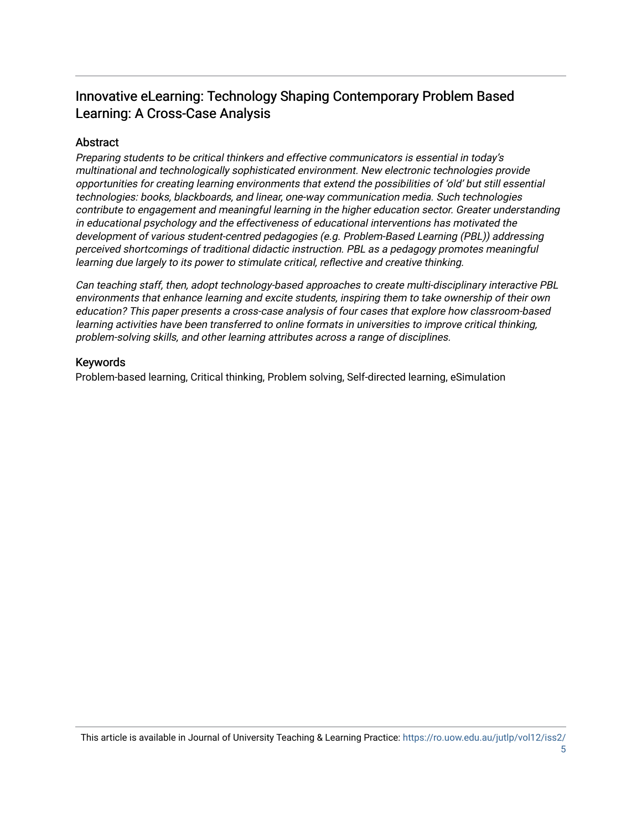## Innovative eLearning: Technology Shaping Contemporary Problem Based Learning: A Cross-Case Analysis

## Abstract

Preparing students to be critical thinkers and effective communicators is essential in today's multinational and technologically sophisticated environment. New electronic technologies provide opportunities for creating learning environments that extend the possibilities of 'old' but still essential technologies: books, blackboards, and linear, one-way communication media. Such technologies contribute to engagement and meaningful learning in the higher education sector. Greater understanding in educational psychology and the effectiveness of educational interventions has motivated the development of various student-centred pedagogies (e.g. Problem-Based Learning (PBL)) addressing perceived shortcomings of traditional didactic instruction. PBL as a pedagogy promotes meaningful learning due largely to its power to stimulate critical, reflective and creative thinking.

Can teaching staff, then, adopt technology-based approaches to create multi-disciplinary interactive PBL environments that enhance learning and excite students, inspiring them to take ownership of their own education? This paper presents a cross-case analysis of four cases that explore how classroom-based learning activities have been transferred to online formats in universities to improve critical thinking, problem-solving skills, and other learning attributes across a range of disciplines.

#### Keywords

Problem-based learning, Critical thinking, Problem solving, Self-directed learning, eSimulation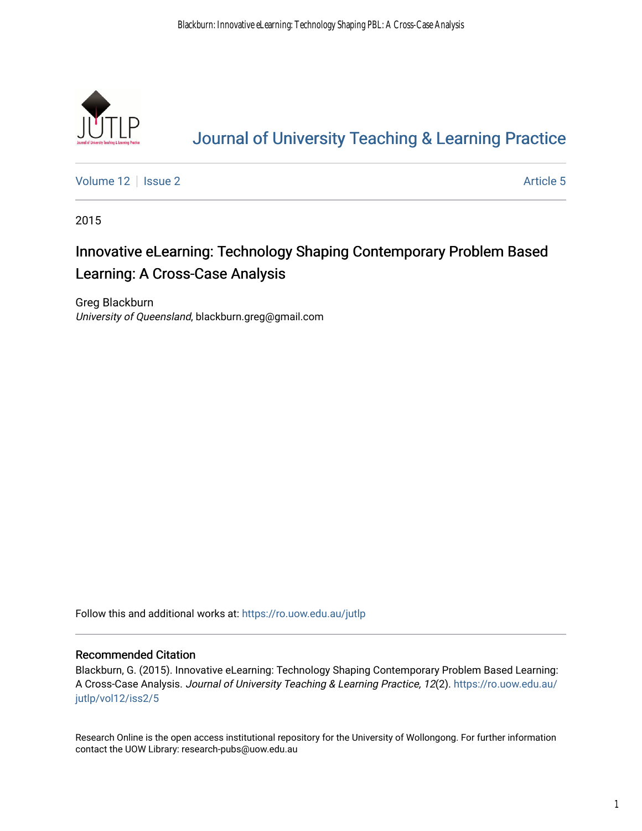

# [Journal of University Teaching & Learning Practice](https://ro.uow.edu.au/jutlp)

[Volume 12](https://ro.uow.edu.au/jutlp/vol12) | [Issue 2](https://ro.uow.edu.au/jutlp/vol12/iss2) Article 5

2015

# Innovative eLearning: Technology Shaping Contemporary Problem Based Learning: A Cross-Case Analysis

Greg Blackburn University of Queensland, blackburn.greg@gmail.com

Follow this and additional works at: [https://ro.uow.edu.au/jutlp](https://ro.uow.edu.au/jutlp?utm_source=ro.uow.edu.au%2Fjutlp%2Fvol12%2Fiss2%2F5&utm_medium=PDF&utm_campaign=PDFCoverPages) 

#### Recommended Citation

Blackburn, G. (2015). Innovative eLearning: Technology Shaping Contemporary Problem Based Learning: A Cross-Case Analysis. Journal of University Teaching & Learning Practice, 12(2). [https://ro.uow.edu.au/](https://ro.uow.edu.au/jutlp/vol12/iss2/5?utm_source=ro.uow.edu.au%2Fjutlp%2Fvol12%2Fiss2%2F5&utm_medium=PDF&utm_campaign=PDFCoverPages) [jutlp/vol12/iss2/5](https://ro.uow.edu.au/jutlp/vol12/iss2/5?utm_source=ro.uow.edu.au%2Fjutlp%2Fvol12%2Fiss2%2F5&utm_medium=PDF&utm_campaign=PDFCoverPages) 

Research Online is the open access institutional repository for the University of Wollongong. For further information contact the UOW Library: research-pubs@uow.edu.au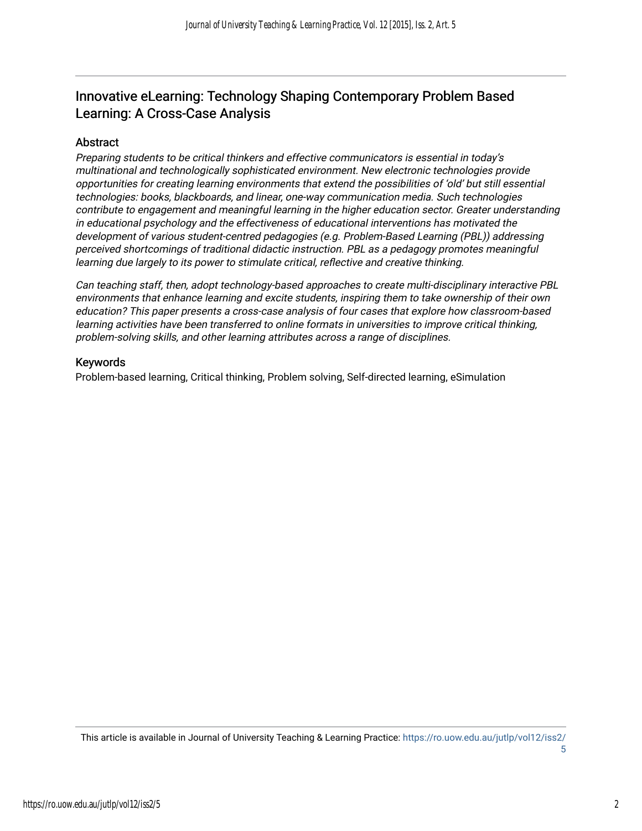## Innovative eLearning: Technology Shaping Contemporary Problem Based Learning: A Cross-Case Analysis

### Abstract

Preparing students to be critical thinkers and effective communicators is essential in today's multinational and technologically sophisticated environment. New electronic technologies provide opportunities for creating learning environments that extend the possibilities of 'old' but still essential technologies: books, blackboards, and linear, one-way communication media. Such technologies contribute to engagement and meaningful learning in the higher education sector. Greater understanding in educational psychology and the effectiveness of educational interventions has motivated the development of various student-centred pedagogies (e.g. Problem-Based Learning (PBL)) addressing perceived shortcomings of traditional didactic instruction. PBL as a pedagogy promotes meaningful learning due largely to its power to stimulate critical, reflective and creative thinking.

Can teaching staff, then, adopt technology-based approaches to create multi-disciplinary interactive PBL environments that enhance learning and excite students, inspiring them to take ownership of their own education? This paper presents a cross-case analysis of four cases that explore how classroom-based learning activities have been transferred to online formats in universities to improve critical thinking, problem-solving skills, and other learning attributes across a range of disciplines.

#### Keywords

Problem-based learning, Critical thinking, Problem solving, Self-directed learning, eSimulation

This article is available in Journal of University Teaching & Learning Practice: [https://ro.uow.edu.au/jutlp/vol12/iss2/](https://ro.uow.edu.au/jutlp/vol12/iss2/5) [5](https://ro.uow.edu.au/jutlp/vol12/iss2/5) 

2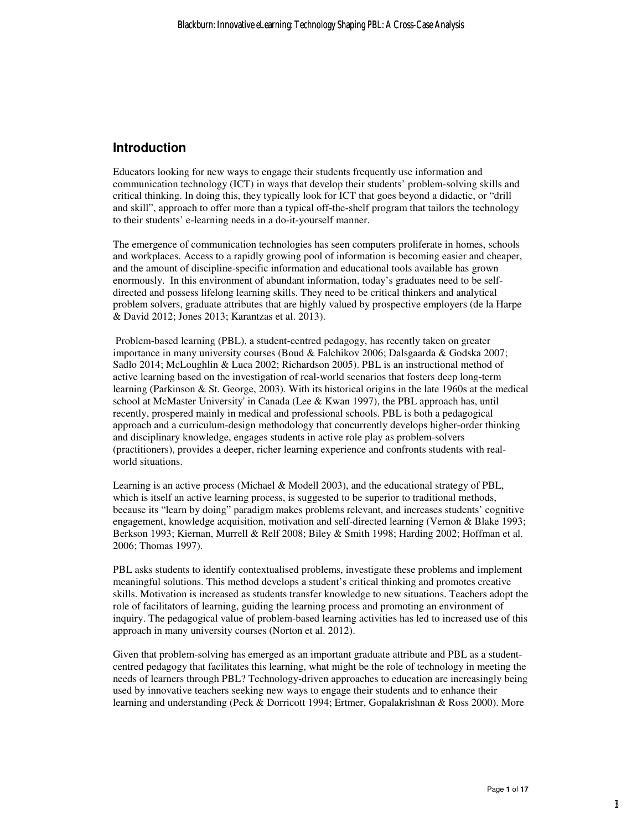#### **Introduction**

Educators looking for new ways to engage their students frequently use information and communication technology (ICT) in ways that develop their students' problem-solving skills and critical thinking. In doing this, they typically look for ICT that goes beyond a didactic, or "drill and skill", approach to offer more than a typical off-the-shelf program that tailors the technology to their students' e-learning needs in a do-it-yourself manner.

The emergence of communication technologies has seen computers proliferate in homes, schools and workplaces. Access to a rapidly growing pool of information is becoming easier and cheaper, and the amount of discipline-specific information and educational tools available has grown enormously. In this environment of abundant information, today's graduates need to be selfdirected and possess lifelong learning skills. They need to be critical thinkers and analytical problem solvers, graduate attributes that are highly valued by prospective employers (de la Harpe & David 2012; Jones 2013; Karantzas et al. 2013).

 Problem-based learning (PBL), a student-centred pedagogy, has recently taken on greater importance in many university courses (Boud & Falchikov 2006; Dalsgaarda & Godska 2007; Sadlo 2014; McLoughlin & Luca 2002; Richardson 2005). PBL is an instructional method of active learning based on the investigation of real-world scenarios that fosters deep long-term learning (Parkinson & St. George, 2003). With its historical origins in the late 1960s at the medical school at McMaster University' in Canada (Lee & Kwan 1997), the PBL approach has, until recently, prospered mainly in medical and professional schools. PBL is both a pedagogical approach and a curriculum-design methodology that concurrently develops higher-order thinking and disciplinary knowledge, engages students in active role play as problem-solvers (practitioners), provides a deeper, richer learning experience and confronts students with realworld situations.

Learning is an active process (Michael & Modell 2003), and the educational strategy of PBL, which is itself an active learning process, is suggested to be superior to traditional methods, because its "learn by doing" paradigm makes problems relevant, and increases students' cognitive engagement, knowledge acquisition, motivation and self-directed learning (Vernon & Blake 1993; Berkson 1993; Kiernan, Murrell & Relf 2008; Biley & Smith 1998; Harding 2002; Hoffman et al. 2006; Thomas 1997).

PBL asks students to identify contextualised problems, investigate these problems and implement meaningful solutions. This method develops a student's critical thinking and promotes creative skills. Motivation is increased as students transfer knowledge to new situations. Teachers adopt the role of facilitators of learning, guiding the learning process and promoting an environment of inquiry. The pedagogical value of problem-based learning activities has led to increased use of this approach in many university courses (Norton et al. 2012).

Given that problem-solving has emerged as an important graduate attribute and PBL as a studentcentred pedagogy that facilitates this learning, what might be the role of technology in meeting the needs of learners through PBL? Technology-driven approaches to education are increasingly being used by innovative teachers seeking new ways to engage their students and to enhance their learning and understanding (Peck & Dorricott 1994; Ertmer, Gopalakrishnan & Ross 2000). More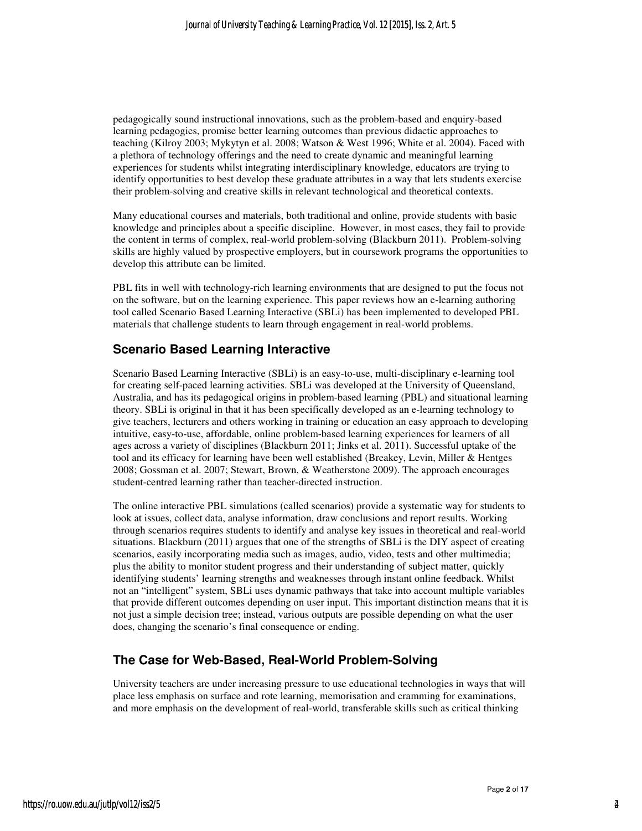pedagogically sound instructional innovations, such as the problem-based and enquiry-based learning pedagogies, promise better learning outcomes than previous didactic approaches to teaching (Kilroy 2003; Mykytyn et al. 2008; Watson & West 1996; White et al. 2004). Faced with a plethora of technology offerings and the need to create dynamic and meaningful learning experiences for students whilst integrating interdisciplinary knowledge, educators are trying to identify opportunities to best develop these graduate attributes in a way that lets students exercise their problem-solving and creative skills in relevant technological and theoretical contexts.

Many educational courses and materials, both traditional and online, provide students with basic knowledge and principles about a specific discipline. However, in most cases, they fail to provide the content in terms of complex, real-world problem-solving (Blackburn 2011). Problem-solving skills are highly valued by prospective employers, but in coursework programs the opportunities to develop this attribute can be limited.

PBL fits in well with technology-rich learning environments that are designed to put the focus not on the software, but on the learning experience. This paper reviews how an e-learning authoring tool called Scenario Based Learning Interactive (SBLi) has been implemented to developed PBL materials that challenge students to learn through engagement in real-world problems.

## **Scenario Based Learning Interactive**

Scenario Based Learning Interactive (SBLi) is an easy-to-use, multi-disciplinary e-learning tool for creating self-paced learning activities. SBLi was developed at the University of Queensland, Australia, and has its pedagogical origins in problem-based learning (PBL) and situational learning theory. SBLi is original in that it has been specifically developed as an e-learning technology to give teachers, lecturers and others working in training or education an easy approach to developing intuitive, easy-to-use, affordable, online problem-based learning experiences for learners of all ages across a variety of disciplines (Blackburn 2011; Jinks et al. 2011). Successful uptake of the tool and its efficacy for learning have been well established (Breakey, Levin, Miller & Hentges 2008; Gossman et al. 2007; Stewart, Brown, & Weatherstone 2009). The approach encourages student-centred learning rather than teacher-directed instruction.

The online interactive PBL simulations (called scenarios) provide a systematic way for students to look at issues, collect data, analyse information, draw conclusions and report results. Working through scenarios requires students to identify and analyse key issues in theoretical and real-world situations. Blackburn (2011) argues that one of the strengths of SBLi is the DIY aspect of creating scenarios, easily incorporating media such as images, audio, video, tests and other multimedia; plus the ability to monitor student progress and their understanding of subject matter, quickly identifying students' learning strengths and weaknesses through instant online feedback. Whilst not an "intelligent" system, SBLi uses dynamic pathways that take into account multiple variables that provide different outcomes depending on user input. This important distinction means that it is not just a simple decision tree; instead, various outputs are possible depending on what the user does, changing the scenario's final consequence or ending.

## **The Case for Web-Based, Real-World Problem-Solving**

University teachers are under increasing pressure to use educational technologies in ways that will place less emphasis on surface and rote learning, memorisation and cramming for examinations, and more emphasis on the development of real-world, transferable skills such as critical thinking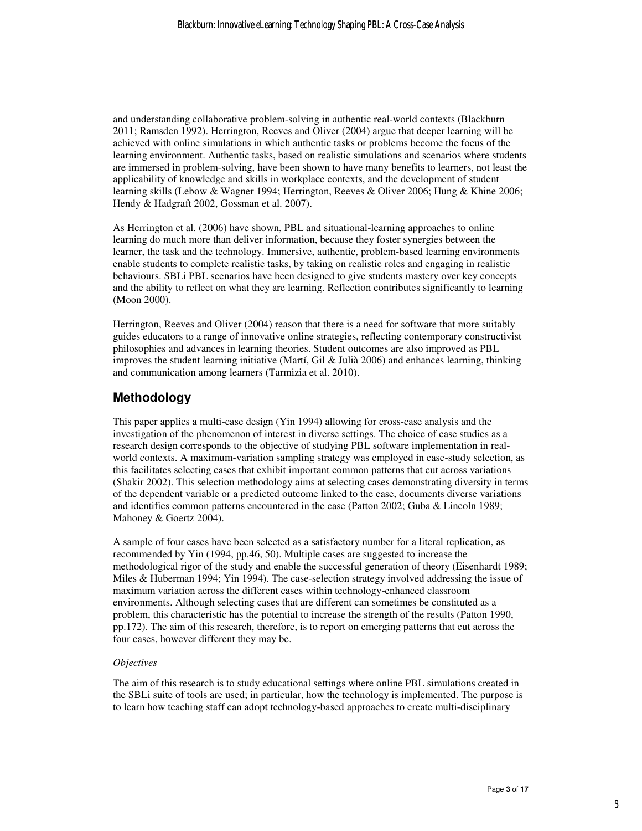and understanding collaborative problem-solving in authentic real-world contexts (Blackburn 2011; Ramsden 1992). Herrington, Reeves and Oliver (2004) argue that deeper learning will be achieved with online simulations in which authentic tasks or problems become the focus of the learning environment. Authentic tasks, based on realistic simulations and scenarios where students are immersed in problem-solving, have been shown to have many benefits to learners, not least the applicability of knowledge and skills in workplace contexts, and the development of student learning skills (Lebow & Wagner 1994; Herrington, Reeves & Oliver 2006; Hung & Khine 2006; Hendy & Hadgraft 2002, Gossman et al. 2007).

As Herrington et al. (2006) have shown, PBL and situational-learning approaches to online learning do much more than deliver information, because they foster synergies between the learner, the task and the technology. Immersive, authentic, problem-based learning environments enable students to complete realistic tasks, by taking on realistic roles and engaging in realistic behaviours. SBLi PBL scenarios have been designed to give students mastery over key concepts and the ability to reflect on what they are learning. Reflection contributes significantly to learning (Moon 2000).

Herrington, Reeves and Oliver (2004) reason that there is a need for software that more suitably guides educators to a range of innovative online strategies, reflecting contemporary constructivist philosophies and advances in learning theories. Student outcomes are also improved as PBL improves the student learning initiative (Martí, Gil & Julià 2006) and enhances learning, thinking and communication among learners (Tarmizia et al. 2010).

## **Methodology**

This paper applies a multi-case design (Yin 1994) allowing for cross-case analysis and the investigation of the phenomenon of interest in diverse settings. The choice of case studies as a research design corresponds to the objective of studying PBL software implementation in realworld contexts. A maximum-variation sampling strategy was employed in case-study selection, as this facilitates selecting cases that exhibit important common patterns that cut across variations (Shakir 2002). This selection methodology aims at selecting cases demonstrating diversity in terms of the dependent variable or a predicted outcome linked to the case, documents diverse variations and identifies common patterns encountered in the case (Patton 2002; Guba & Lincoln 1989; Mahoney & Goertz 2004).

A sample of four cases have been selected as a satisfactory number for a literal replication, as recommended by Yin (1994, pp.46, 50). Multiple cases are suggested to increase the methodological rigor of the study and enable the successful generation of theory (Eisenhardt 1989; Miles & Huberman 1994; Yin 1994). The case-selection strategy involved addressing the issue of maximum variation across the different cases within technology-enhanced classroom environments. Although selecting cases that are different can sometimes be constituted as a problem, this characteristic has the potential to increase the strength of the results (Patton 1990, pp.172). The aim of this research, therefore, is to report on emerging patterns that cut across the four cases, however different they may be.

#### *Objectives*

The aim of this research is to study educational settings where online PBL simulations created in the SBLi suite of tools are used; in particular, how the technology is implemented. The purpose is to learn how teaching staff can adopt technology-based approaches to create multi-disciplinary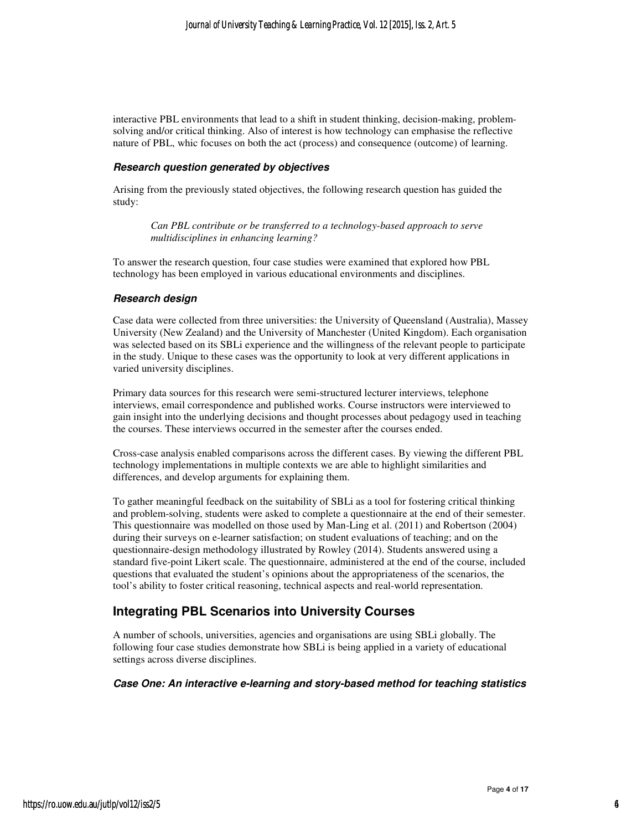interactive PBL environments that lead to a shift in student thinking, decision-making, problemsolving and/or critical thinking. Also of interest is how technology can emphasise the reflective nature of PBL, whic focuses on both the act (process) and consequence (outcome) of learning.

#### **Research question generated by objectives**

Arising from the previously stated objectives, the following research question has guided the study:

*Can PBL contribute or be transferred to a technology-based approach to serve multidisciplines in enhancing learning?* 

To answer the research question, four case studies were examined that explored how PBL technology has been employed in various educational environments and disciplines.

#### **Research design**

Case data were collected from three universities: the University of Queensland (Australia), Massey University (New Zealand) and the University of Manchester (United Kingdom). Each organisation was selected based on its SBLi experience and the willingness of the relevant people to participate in the study. Unique to these cases was the opportunity to look at very different applications in varied university disciplines.

Primary data sources for this research were semi-structured lecturer interviews, telephone interviews, email correspondence and published works. Course instructors were interviewed to gain insight into the underlying decisions and thought processes about pedagogy used in teaching the courses. These interviews occurred in the semester after the courses ended.

Cross-case analysis enabled comparisons across the different cases. By viewing the different PBL technology implementations in multiple contexts we are able to highlight similarities and differences, and develop arguments for explaining them.

To gather meaningful feedback on the suitability of SBLi as a tool for fostering critical thinking and problem-solving, students were asked to complete a questionnaire at the end of their semester. This questionnaire was modelled on those used by Man-Ling et al. (2011) and Robertson (2004) during their surveys on e-learner satisfaction; on student evaluations of teaching; and on the questionnaire-design methodology illustrated by Rowley (2014). Students answered using a standard five-point Likert scale. The questionnaire, administered at the end of the course, included questions that evaluated the student's opinions about the appropriateness of the scenarios, the tool's ability to foster critical reasoning, technical aspects and real-world representation.

## **Integrating PBL Scenarios into University Courses**

A number of schools, universities, agencies and organisations are using SBLi globally. The following four case studies demonstrate how SBLi is being applied in a variety of educational settings across diverse disciplines.

#### **Case One: An interactive e-learning and story-based method for teaching statistics**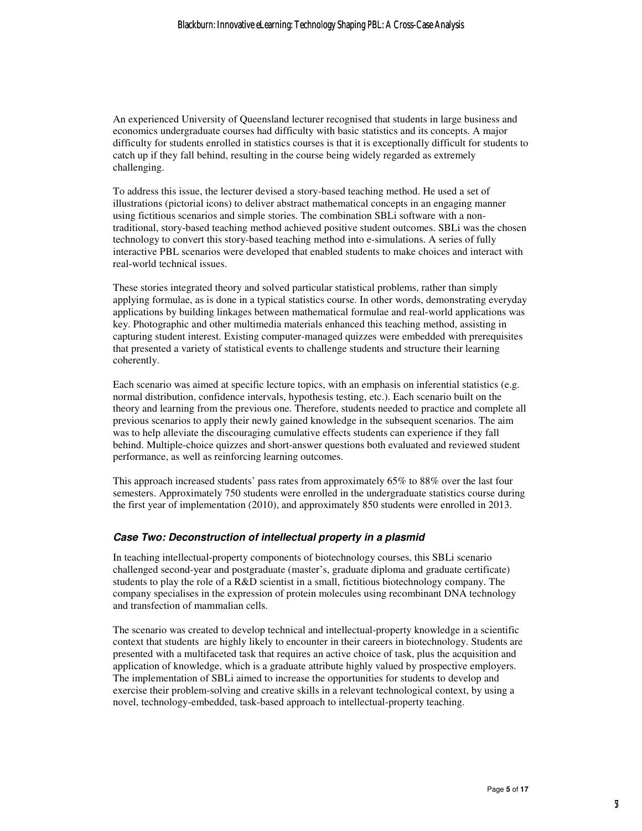An experienced University of Queensland lecturer recognised that students in large business and economics undergraduate courses had difficulty with basic statistics and its concepts. A major difficulty for students enrolled in statistics courses is that it is exceptionally difficult for students to catch up if they fall behind, resulting in the course being widely regarded as extremely challenging.

To address this issue, the lecturer devised a story-based teaching method. He used a set of illustrations (pictorial icons) to deliver abstract mathematical concepts in an engaging manner using fictitious scenarios and simple stories. The combination SBLi software with a nontraditional, story-based teaching method achieved positive student outcomes. SBLi was the chosen technology to convert this story-based teaching method into e-simulations. A series of fully interactive PBL scenarios were developed that enabled students to make choices and interact with real-world technical issues.

These stories integrated theory and solved particular statistical problems, rather than simply applying formulae, as is done in a typical statistics course. In other words, demonstrating everyday applications by building linkages between mathematical formulae and real-world applications was key. Photographic and other multimedia materials enhanced this teaching method, assisting in capturing student interest. Existing computer-managed quizzes were embedded with prerequisites that presented a variety of statistical events to challenge students and structure their learning coherently.

Each scenario was aimed at specific lecture topics, with an emphasis on inferential statistics (e.g. normal distribution, confidence intervals, hypothesis testing, etc.). Each scenario built on the theory and learning from the previous one. Therefore, students needed to practice and complete all previous scenarios to apply their newly gained knowledge in the subsequent scenarios. The aim was to help alleviate the discouraging cumulative effects students can experience if they fall behind. Multiple-choice quizzes and short-answer questions both evaluated and reviewed student performance, as well as reinforcing learning outcomes.

This approach increased students' pass rates from approximately 65% to 88% over the last four semesters. Approximately 750 students were enrolled in the undergraduate statistics course during the first year of implementation (2010), and approximately 850 students were enrolled in 2013.

#### **Case Two: Deconstruction of intellectual property in a plasmid**

In teaching intellectual-property components of biotechnology courses, this SBLi scenario challenged second-year and postgraduate (master's, graduate diploma and graduate certificate) students to play the role of a R&D scientist in a small, fictitious biotechnology company. The company specialises in the expression of protein molecules using recombinant DNA technology and transfection of mammalian cells.

The scenario was created to develop technical and intellectual-property knowledge in a scientific context that students are highly likely to encounter in their careers in biotechnology. Students are presented with a multifaceted task that requires an active choice of task, plus the acquisition and application of knowledge, which is a graduate attribute highly valued by prospective employers. The implementation of SBLi aimed to increase the opportunities for students to develop and exercise their problem-solving and creative skills in a relevant technological context, by using a novel, technology-embedded, task-based approach to intellectual-property teaching.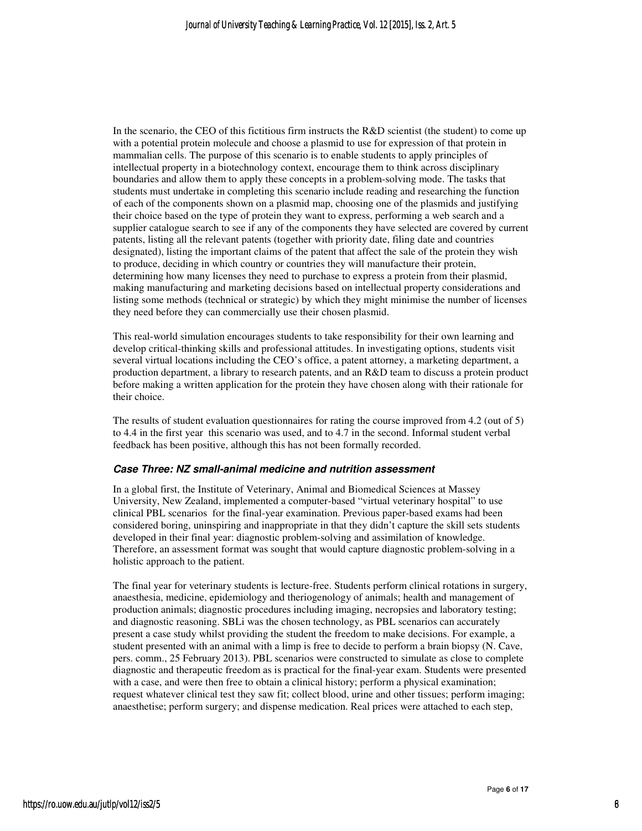In the scenario, the CEO of this fictitious firm instructs the R&D scientist (the student) to come up with a potential protein molecule and choose a plasmid to use for expression of that protein in mammalian cells. The purpose of this scenario is to enable students to apply principles of intellectual property in a biotechnology context, encourage them to think across disciplinary boundaries and allow them to apply these concepts in a problem-solving mode. The tasks that students must undertake in completing this scenario include reading and researching the function of each of the components shown on a plasmid map, choosing one of the plasmids and justifying their choice based on the type of protein they want to express, performing a web search and a supplier catalogue search to see if any of the components they have selected are covered by current patents, listing all the relevant patents (together with priority date, filing date and countries designated), listing the important claims of the patent that affect the sale of the protein they wish to produce, deciding in which country or countries they will manufacture their protein, determining how many licenses they need to purchase to express a protein from their plasmid, making manufacturing and marketing decisions based on intellectual property considerations and listing some methods (technical or strategic) by which they might minimise the number of licenses they need before they can commercially use their chosen plasmid.

This real-world simulation encourages students to take responsibility for their own learning and develop critical-thinking skills and professional attitudes. In investigating options, students visit several virtual locations including the CEO's office, a patent attorney, a marketing department, a production department, a library to research patents, and an R&D team to discuss a protein product before making a written application for the protein they have chosen along with their rationale for their choice.

The results of student evaluation questionnaires for rating the course improved from 4.2 (out of 5) to 4.4 in the first year this scenario was used, and to 4.7 in the second. Informal student verbal feedback has been positive, although this has not been formally recorded.

#### **Case Three: NZ small-animal medicine and nutrition assessment**

In a global first, the Institute of Veterinary, Animal and Biomedical Sciences at Massey University, New Zealand, implemented a computer-based "virtual veterinary hospital" to use clinical PBL scenarios for the final-year examination. Previous paper-based exams had been considered boring, uninspiring and inappropriate in that they didn't capture the skill sets students developed in their final year: diagnostic problem-solving and assimilation of knowledge. Therefore, an assessment format was sought that would capture diagnostic problem-solving in a holistic approach to the patient.

The final year for veterinary students is lecture-free. Students perform clinical rotations in surgery, anaesthesia, medicine, epidemiology and theriogenology of animals; health and management of production animals; diagnostic procedures including imaging, necropsies and laboratory testing; and diagnostic reasoning. SBLi was the chosen technology, as PBL scenarios can accurately present a case study whilst providing the student the freedom to make decisions. For example, a student presented with an animal with a limp is free to decide to perform a brain biopsy (N. Cave, pers. comm., 25 February 2013). PBL scenarios were constructed to simulate as close to complete diagnostic and therapeutic freedom as is practical for the final-year exam. Students were presented with a case, and were then free to obtain a clinical history; perform a physical examination; request whatever clinical test they saw fit; collect blood, urine and other tissues; perform imaging; anaesthetise; perform surgery; and dispense medication. Real prices were attached to each step,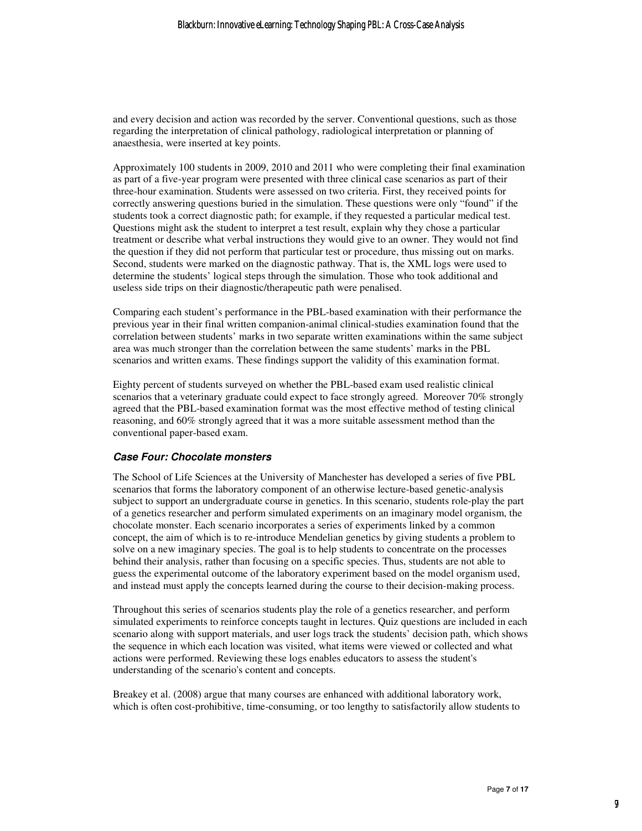and every decision and action was recorded by the server. Conventional questions, such as those regarding the interpretation of clinical pathology, radiological interpretation or planning of anaesthesia, were inserted at key points.

Approximately 100 students in 2009, 2010 and 2011 who were completing their final examination as part of a five-year program were presented with three clinical case scenarios as part of their three-hour examination. Students were assessed on two criteria. First, they received points for correctly answering questions buried in the simulation. These questions were only "found" if the students took a correct diagnostic path; for example, if they requested a particular medical test. Questions might ask the student to interpret a test result, explain why they chose a particular treatment or describe what verbal instructions they would give to an owner. They would not find the question if they did not perform that particular test or procedure, thus missing out on marks. Second, students were marked on the diagnostic pathway. That is, the XML logs were used to determine the students' logical steps through the simulation. Those who took additional and useless side trips on their diagnostic/therapeutic path were penalised.

Comparing each student's performance in the PBL-based examination with their performance the previous year in their final written companion-animal clinical-studies examination found that the correlation between students' marks in two separate written examinations within the same subject area was much stronger than the correlation between the same students' marks in the PBL scenarios and written exams. These findings support the validity of this examination format.

Eighty percent of students surveyed on whether the PBL-based exam used realistic clinical scenarios that a veterinary graduate could expect to face strongly agreed. Moreover 70% strongly agreed that the PBL-based examination format was the most effective method of testing clinical reasoning, and 60% strongly agreed that it was a more suitable assessment method than the conventional paper-based exam.

#### **Case Four: Chocolate monsters**

The School of Life Sciences at the University of Manchester has developed a series of five PBL scenarios that forms the laboratory component of an otherwise lecture-based genetic-analysis subject to support an undergraduate course in genetics. In this scenario, students role-play the part of a genetics researcher and perform simulated experiments on an imaginary model organism, the chocolate monster. Each scenario incorporates a series of experiments linked by a common concept, the aim of which is to re-introduce Mendelian genetics by giving students a problem to solve on a new imaginary species. The goal is to help students to concentrate on the processes behind their analysis, rather than focusing on a specific species. Thus, students are not able to guess the experimental outcome of the laboratory experiment based on the model organism used, and instead must apply the concepts learned during the course to their decision-making process.

Throughout this series of scenarios students play the role of a genetics researcher, and perform simulated experiments to reinforce concepts taught in lectures. Quiz questions are included in each scenario along with support materials, and user logs track the students' decision path, which shows the sequence in which each location was visited, what items were viewed or collected and what actions were performed. Reviewing these logs enables educators to assess the student's understanding of the scenario's content and concepts.

Breakey et al. (2008) argue that many courses are enhanced with additional laboratory work, which is often cost-prohibitive, time-consuming, or too lengthy to satisfactorily allow students to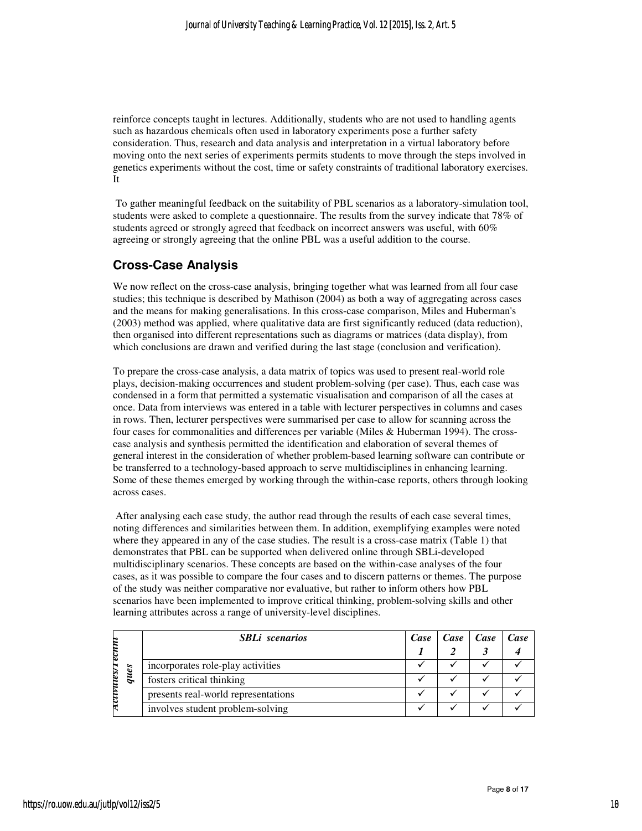reinforce concepts taught in lectures. Additionally, students who are not used to handling agents such as hazardous chemicals often used in laboratory experiments pose a further safety consideration. Thus, research and data analysis and interpretation in a virtual laboratory before moving onto the next series of experiments permits students to move through the steps involved in genetics experiments without the cost, time or safety constraints of traditional laboratory exercises. It

 To gather meaningful feedback on the suitability of PBL scenarios as a laboratory-simulation tool, students were asked to complete a questionnaire. The results from the survey indicate that 78% of students agreed or strongly agreed that feedback on incorrect answers was useful, with 60% agreeing or strongly agreeing that the online PBL was a useful addition to the course.

## **Cross-Case Analysis**

We now reflect on the cross-case analysis, bringing together what was learned from all four case studies; this technique is described by Mathison (2004) as both a way of aggregating across cases and the means for making generalisations. In this cross-case comparison, Miles and Huberman's (2003) method was applied, where qualitative data are first significantly reduced (data reduction), then organised into different representations such as diagrams or matrices (data display), from which conclusions are drawn and verified during the last stage (conclusion and verification).

To prepare the cross-case analysis, a data matrix of topics was used to present real-world role plays, decision-making occurrences and student problem-solving (per case). Thus, each case was condensed in a form that permitted a systematic visualisation and comparison of all the cases at once. Data from interviews was entered in a table with lecturer perspectives in columns and cases in rows. Then, lecturer perspectives were summarised per case to allow for scanning across the four cases for commonalities and differences per variable (Miles & Huberman 1994). The crosscase analysis and synthesis permitted the identification and elaboration of several themes of general interest in the consideration of whether problem-based learning software can contribute or be transferred to a technology-based approach to serve multidisciplines in enhancing learning. Some of these themes emerged by working through the within-case reports, others through looking across cases.

 After analysing each case study, the author read through the results of each case several times, noting differences and similarities between them. In addition, exemplifying examples were noted where they appeared in any of the case studies. The result is a cross-case matrix (Table 1) that demonstrates that PBL can be supported when delivered online through SBLi-developed multidisciplinary scenarios. These concepts are based on the within-case analyses of the four cases, as it was possible to compare the four cases and to discern patterns or themes. The purpose of the study was neither comparative nor evaluative, but rather to inform others how PBL scenarios have been implemented to improve critical thinking, problem-solving skills and other learning attributes across a range of university-level disciplines.

|      |      | <b>SBLi</b> scenarios               | Case | Case   Case | Case |
|------|------|-------------------------------------|------|-------------|------|
| uess | ques |                                     |      |             |      |
|      |      | incorporates role-play activities   |      |             |      |
|      |      | fosters critical thinking           |      |             |      |
|      |      | presents real-world representations |      |             |      |
|      |      | involves student problem-solving    |      |             |      |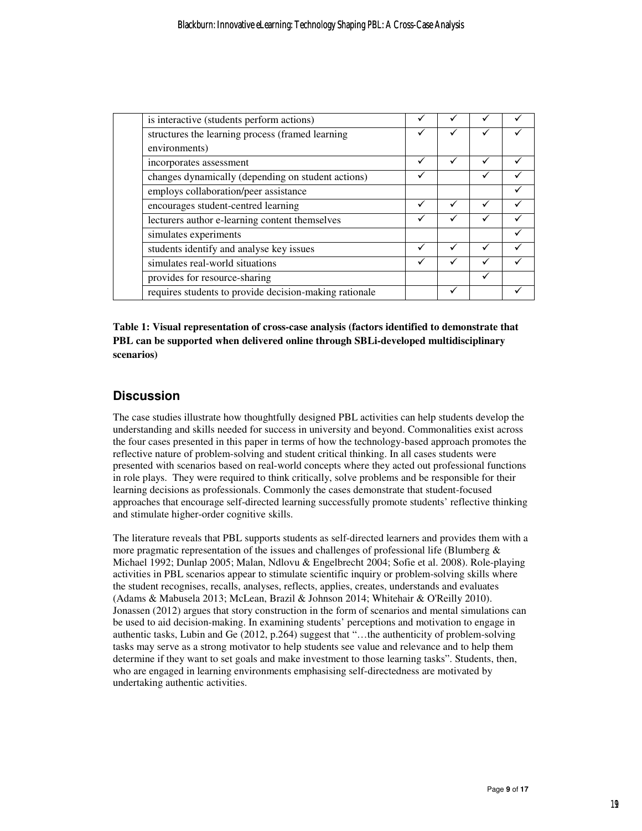| is interactive (students perform actions)              |   |   |  |
|--------------------------------------------------------|---|---|--|
| structures the learning process (framed learning       | ✓ |   |  |
| environments)                                          |   |   |  |
| incorporates assessment                                |   |   |  |
| changes dynamically (depending on student actions)     |   |   |  |
| employs collaboration/peer assistance                  |   |   |  |
| encourages student-centred learning                    | ✓ | ✓ |  |
| lecturers author e-learning content themselves         | ✓ |   |  |
| simulates experiments                                  |   |   |  |
| students identify and analyse key issues               | ✓ |   |  |
| simulates real-world situations                        |   |   |  |
| provides for resource-sharing                          |   |   |  |
| requires students to provide decision-making rationale |   |   |  |

**Table 1: Visual representation of cross-case analysis (factors identified to demonstrate that PBL can be supported when delivered online through SBLi-developed multidisciplinary scenarios)** 

## **Discussion**

The case studies illustrate how thoughtfully designed PBL activities can help students develop the understanding and skills needed for success in university and beyond. Commonalities exist across the four cases presented in this paper in terms of how the technology-based approach promotes the reflective nature of problem-solving and student critical thinking. In all cases students were presented with scenarios based on real-world concepts where they acted out professional functions in role plays. They were required to think critically, solve problems and be responsible for their learning decisions as professionals. Commonly the cases demonstrate that student-focused approaches that encourage self-directed learning successfully promote students' reflective thinking and stimulate higher-order cognitive skills.

The literature reveals that PBL supports students as self-directed learners and provides them with a more pragmatic representation of the issues and challenges of professional life (Blumberg  $\&$ Michael 1992; Dunlap 2005; Malan, Ndlovu & Engelbrecht 2004; Sofie et al. 2008). Role-playing activities in PBL scenarios appear to stimulate scientific inquiry or problem-solving skills where the student recognises, recalls, analyses, reflects, applies, creates, understands and evaluates (Adams & Mabusela 2013; McLean, Brazil & Johnson 2014; Whitehair & O'Reilly 2010). Jonassen (2012) argues that story construction in the form of scenarios and mental simulations can be used to aid decision-making. In examining students' perceptions and motivation to engage in authentic tasks, Lubin and Ge (2012, p.264) suggest that "…the authenticity of problem-solving tasks may serve as a strong motivator to help students see value and relevance and to help them determine if they want to set goals and make investment to those learning tasks". Students, then, who are engaged in learning environments emphasising self-directedness are motivated by undertaking authentic activities.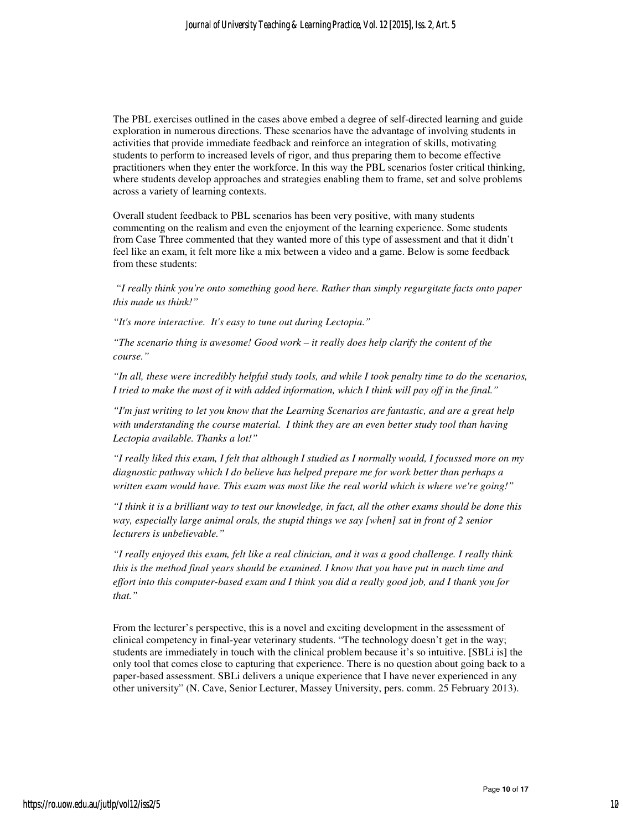The PBL exercises outlined in the cases above embed a degree of self-directed learning and guide exploration in numerous directions. These scenarios have the advantage of involving students in activities that provide immediate feedback and reinforce an integration of skills, motivating students to perform to increased levels of rigor, and thus preparing them to become effective practitioners when they enter the workforce. In this way the PBL scenarios foster critical thinking, where students develop approaches and strategies enabling them to frame, set and solve problems across a variety of learning contexts.

Overall student feedback to PBL scenarios has been very positive, with many students commenting on the realism and even the enjoyment of the learning experience. Some students from Case Three commented that they wanted more of this type of assessment and that it didn't feel like an exam, it felt more like a mix between a video and a game. Below is some feedback from these students:

 *"I really think you're onto something good here. Rather than simply regurgitate facts onto paper this made us think!"* 

*"It's more interactive. It's easy to tune out during Lectopia."* 

*"The scenario thing is awesome! Good work – it really does help clarify the content of the course."* 

*"In all, these were incredibly helpful study tools, and while I took penalty time to do the scenarios, I tried to make the most of it with added information, which I think will pay off in the final."* 

*"I'm just writing to let you know that the Learning Scenarios are fantastic, and are a great help with understanding the course material. I think they are an even better study tool than having Lectopia available. Thanks a lot!"* 

*"I really liked this exam, I felt that although I studied as I normally would, I focussed more on my diagnostic pathway which I do believe has helped prepare me for work better than perhaps a written exam would have. This exam was most like the real world which is where we're going!"* 

*"I think it is a brilliant way to test our knowledge, in fact, all the other exams should be done this way, especially large animal orals, the stupid things we say [when] sat in front of 2 senior lecturers is unbelievable."* 

*"I really enjoyed this exam, felt like a real clinician, and it was a good challenge. I really think this is the method final years should be examined. I know that you have put in much time and effort into this computer-based exam and I think you did a really good job, and I thank you for that."* 

From the lecturer's perspective, this is a novel and exciting development in the assessment of clinical competency in final-year veterinary students. "The technology doesn't get in the way; students are immediately in touch with the clinical problem because it's so intuitive. [SBLi is] the only tool that comes close to capturing that experience. There is no question about going back to a paper-based assessment. SBLi delivers a unique experience that I have never experienced in any other university" (N. Cave, Senior Lecturer, Massey University, pers. comm. 25 February 2013).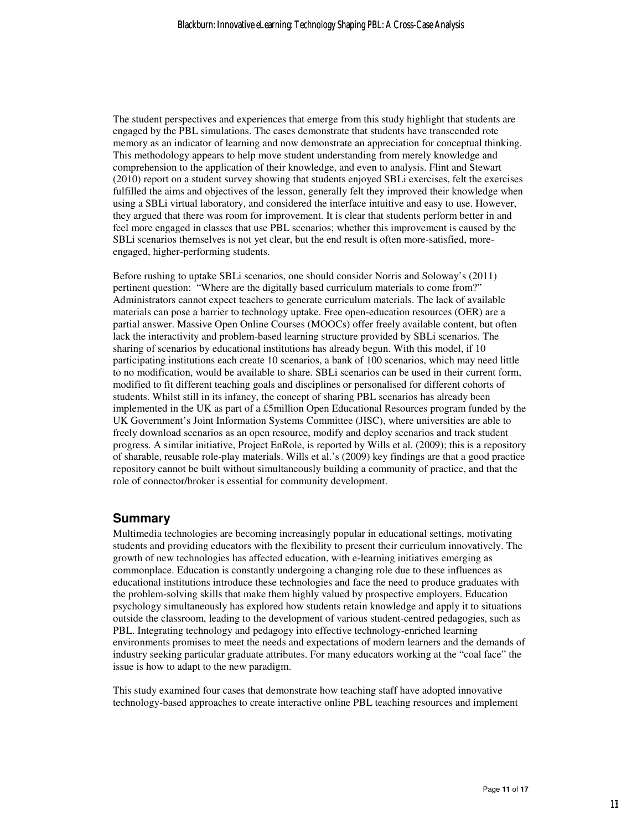The student perspectives and experiences that emerge from this study highlight that students are engaged by the PBL simulations. The cases demonstrate that students have transcended rote memory as an indicator of learning and now demonstrate an appreciation for conceptual thinking. This methodology appears to help move student understanding from merely knowledge and comprehension to the application of their knowledge, and even to analysis. Flint and Stewart (2010) report on a student survey showing that students enjoyed SBLi exercises, felt the exercises fulfilled the aims and objectives of the lesson, generally felt they improved their knowledge when using a SBLi virtual laboratory, and considered the interface intuitive and easy to use. However, they argued that there was room for improvement. It is clear that students perform better in and feel more engaged in classes that use PBL scenarios; whether this improvement is caused by the SBLi scenarios themselves is not yet clear, but the end result is often more-satisfied, moreengaged, higher-performing students.

Before rushing to uptake SBLi scenarios, one should consider Norris and Soloway's (2011) pertinent question: "Where are the digitally based curriculum materials to come from?" Administrators cannot expect teachers to generate curriculum materials. The lack of available materials can pose a barrier to technology uptake. Free open-education resources (OER) are a partial answer. Massive Open Online Courses (MOOCs) offer freely available content, but often lack the interactivity and problem-based learning structure provided by SBLi scenarios. The sharing of scenarios by educational institutions has already begun. With this model, if 10 participating institutions each create 10 scenarios, a bank of 100 scenarios, which may need little to no modification, would be available to share. SBLi scenarios can be used in their current form, modified to fit different teaching goals and disciplines or personalised for different cohorts of students. Whilst still in its infancy, the concept of sharing PBL scenarios has already been implemented in the UK as part of a £5million Open Educational Resources program funded by the UK Government's Joint Information Systems Committee (JISC), where universities are able to freely download scenarios as an open resource, modify and deploy scenarios and track student progress. A similar initiative, Project EnRole, is reported by Wills et al. (2009); this is a repository of sharable, reusable role-play materials. Wills et al.'s (2009) key findings are that a good practice repository cannot be built without simultaneously building a community of practice, and that the role of connector/broker is essential for community development.

#### **Summary**

Multimedia technologies are becoming increasingly popular in educational settings, motivating students and providing educators with the flexibility to present their curriculum innovatively. The growth of new technologies has affected education, with e-learning initiatives emerging as commonplace. Education is constantly undergoing a changing role due to these influences as educational institutions introduce these technologies and face the need to produce graduates with the problem-solving skills that make them highly valued by prospective employers. Education psychology simultaneously has explored how students retain knowledge and apply it to situations outside the classroom, leading to the development of various student-centred pedagogies, such as PBL. Integrating technology and pedagogy into effective technology-enriched learning environments promises to meet the needs and expectations of modern learners and the demands of industry seeking particular graduate attributes. For many educators working at the "coal face" the issue is how to adapt to the new paradigm.

This study examined four cases that demonstrate how teaching staff have adopted innovative technology-based approaches to create interactive online PBL teaching resources and implement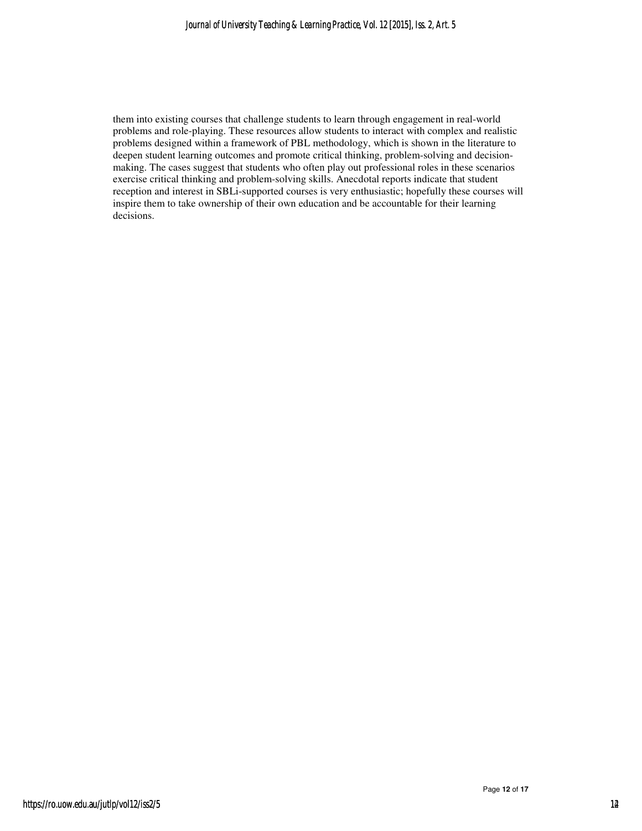them into existing courses that challenge students to learn through engagement in real-world problems and role-playing. These resources allow students to interact with complex and realistic problems designed within a framework of PBL methodology, which is shown in the literature to deepen student learning outcomes and promote critical thinking, problem-solving and decisionmaking. The cases suggest that students who often play out professional roles in these scenarios exercise critical thinking and problem-solving skills. Anecdotal reports indicate that student reception and interest in SBLi-supported courses is very enthusiastic; hopefully these courses will inspire them to take ownership of their own education and be accountable for their learning decisions.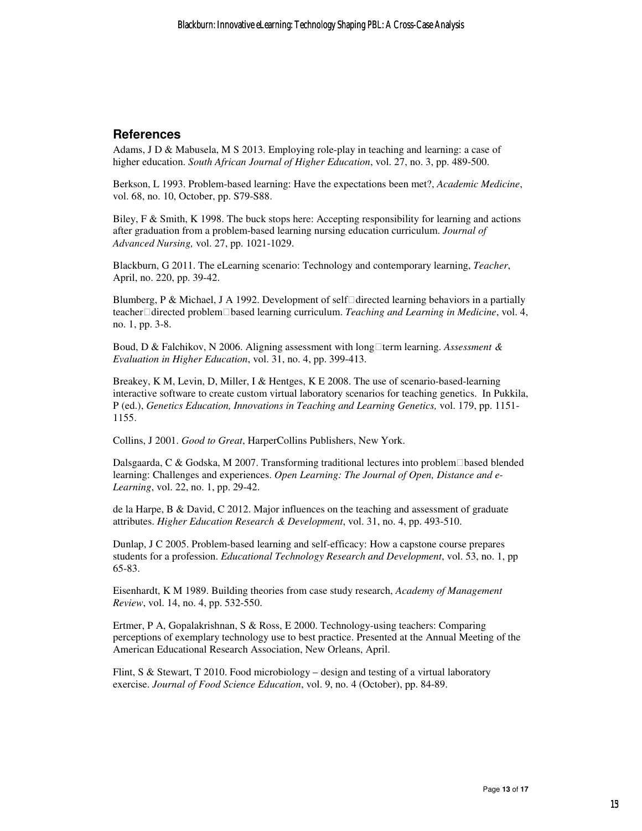## **References**

Adams, J D & Mabusela, M S 2013. Employing role-play in teaching and learning: a case of higher education. *South African Journal of Higher Education*, vol. 27, no. 3, pp. 489-500.

Berkson, L 1993. Problem-based learning: Have the expectations been met?, *Academic Medicine*, vol. 68, no. 10, October, pp. S79-S88.

Biley, F & Smith, K 1998. The buck stops here: Accepting responsibility for learning and actions after graduation from a problem-based learning nursing education curriculum. *Journal of Advanced Nursing,* vol. 27, pp. 1021-1029.

Blackburn, G 2011. The eLearning scenario: Technology and contemporary learning, *Teacher*, April, no. 220, pp. 39-42.

Blumberg, P & Michael, J A 1992. Development of self directed learning behaviors in a partially teacher directed problem based learning curriculum. *Teaching and Learning in Medicine*, vol. 4, no. 1, pp. 3-8.

Boud, D & Falchikov, N 2006. Aligning assessment with longterm learning. *Assessment & Evaluation in Higher Education*, vol. 31, no. 4, pp. 399-413.

Breakey, K M, Levin, D, Miller, I & Hentges, K E 2008. The use of scenario-based-learning interactive software to create custom virtual laboratory scenarios for teaching genetics. In Pukkila, P (ed.), *Genetics Education, Innovations in Teaching and Learning Genetics,* vol. 179, pp. 1151- 1155.

Collins, J 2001. *Good to Great*, HarperCollins Publishers, New York.

Dalsgaarda, C & Godska, M 2007. Transforming traditional lectures into problem based blended learning: Challenges and experiences. *Open Learning: The Journal of Open, Distance and e-Learning*, vol. 22, no. 1, pp. 29-42.

de la Harpe, B & David, C 2012. Major influences on the teaching and assessment of graduate attributes. *Higher Education Research & Development*, vol. 31, no. 4, pp. 493-510.

Dunlap, J C 2005. Problem-based learning and self-efficacy: How a capstone course prepares students for a profession. *Educational Technology Research and Development*, vol. 53, no. 1, pp 65-83.

Eisenhardt, K M 1989. Building theories from case study research, *Academy of Management Review*, vol. 14, no. 4, pp. 532-550.

Ertmer, P A, Gopalakrishnan, S & Ross, E 2000. Technology-using teachers: Comparing perceptions of exemplary technology use to best practice. Presented at the Annual Meeting of the American Educational Research Association, New Orleans, April.

Flint, S & Stewart, T 2010. Food microbiology – design and testing of a virtual laboratory exercise. *Journal of Food Science Education*, vol. 9, no. 4 (October), pp. 84-89.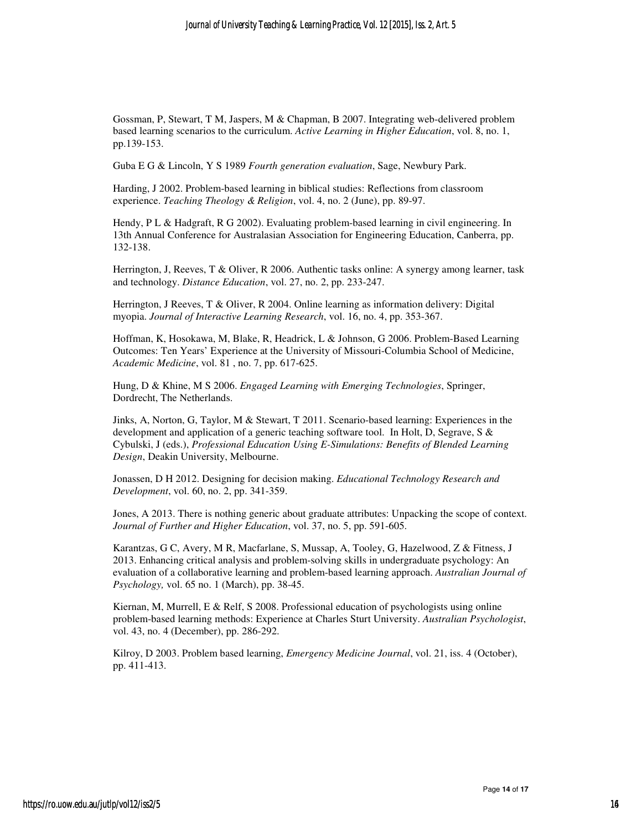Gossman, P, Stewart, T M, Jaspers, M & Chapman, B 2007. Integrating web-delivered problem based learning scenarios to the curriculum. *Active Learning in Higher Education*, vol. 8, no. 1, pp.139-153.

Guba E G & Lincoln, Y S 1989 *Fourth generation evaluation*, Sage, Newbury Park.

Harding, J 2002. Problem-based learning in biblical studies: Reflections from classroom experience. *Teaching Theology & Religion*, vol. 4, no. 2 (June), pp. 89-97.

Hendy, P L & Hadgraft, R G 2002). Evaluating problem-based learning in civil engineering. In 13th Annual Conference for Australasian Association for Engineering Education, Canberra, pp. 132-138.

Herrington, J, Reeves, T & Oliver, R 2006. Authentic tasks online: A synergy among learner, task and technology. *Distance Education*, vol. 27, no. 2, pp. 233-247.

Herrington, J Reeves, T & Oliver, R 2004. Online learning as information delivery: Digital myopia. *Journal of Interactive Learning Research*, vol. 16, no. 4, pp. 353-367.

Hoffman, K, Hosokawa, M, Blake, R, Headrick, L & Johnson, G 2006. Problem-Based Learning Outcomes: Ten Years' Experience at the University of Missouri-Columbia School of Medicine, *Academic Medicine*, vol. 81 , no. 7, pp. 617-625.

Hung, D & Khine, M S 2006. *Engaged Learning with Emerging Technologies*, Springer, Dordrecht, The Netherlands.

Jinks, A, Norton, G, Taylor, M & Stewart, T 2011. Scenario-based learning: Experiences in the development and application of a generic teaching software tool. In Holt, D, Segrave, S & Cybulski, J (eds.), *Professional Education Using E-Simulations: Benefits of Blended Learning Design*, Deakin University, Melbourne.

Jonassen, D H 2012. Designing for decision making. *Educational Technology Research and Development*, vol. 60, no. 2, pp. 341-359.

Jones, A 2013. There is nothing generic about graduate attributes: Unpacking the scope of context. *Journal of Further and Higher Education*, vol. 37, no. 5, pp. 591-605.

Karantzas, G C, Avery, M R, Macfarlane, S, Mussap, A, Tooley, G, Hazelwood, Z & Fitness, J 2013. Enhancing critical analysis and problem-solving skills in undergraduate psychology: An evaluation of a collaborative learning and problem-based learning approach. *Australian Journal of Psychology,* vol. 65 no. 1 (March), pp. 38-45.

Kiernan, M, Murrell, E & Relf, S 2008. Professional education of psychologists using online problem-based learning methods: Experience at Charles Sturt University. *Australian Psychologist*, vol. 43, no. 4 (December), pp. 286-292.

Kilroy, D 2003. Problem based learning, *Emergency Medicine Journal*, vol. 21, iss. 4 (October), pp. 411-413.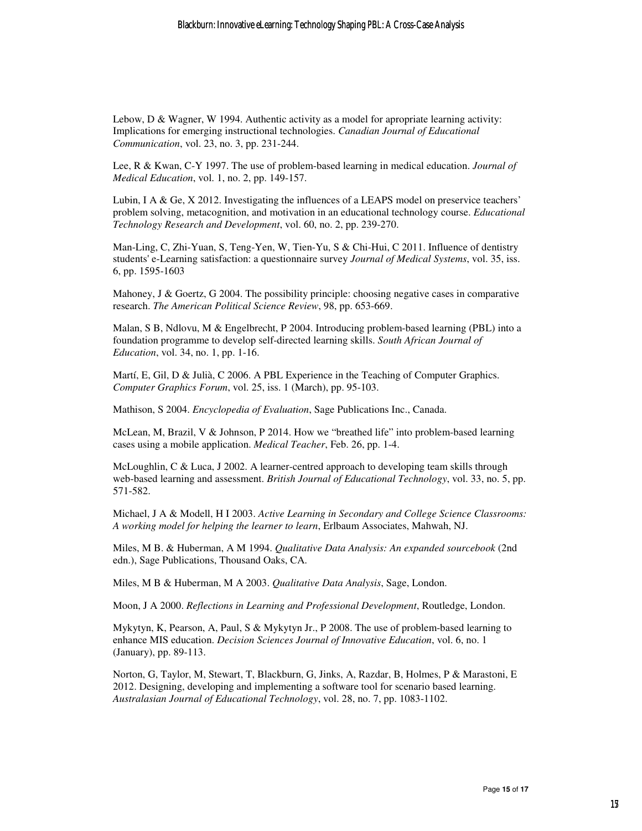Lebow, D & Wagner, W 1994. Authentic activity as a model for apropriate learning activity: Implications for emerging instructional technologies. *Canadian Journal of Educational Communication*, vol. 23, no. 3, pp. 231-244.

Lee, R & Kwan, C-Y 1997. The use of problem-based learning in medical education. *Journal of Medical Education*, vol. 1, no. 2, pp. 149-157.

Lubin, I A & Ge, X 2012. Investigating the influences of a LEAPS model on preservice teachers' problem solving, metacognition, and motivation in an educational technology course. *Educational Technology Research and Development*, vol. 60, no. 2, pp. 239-270.

Man-Ling, C, Zhi-Yuan, S, Teng-Yen, W, Tien-Yu, S & Chi-Hui, C 2011. Influence of dentistry students' e-Learning satisfaction: a questionnaire survey *Journal of Medical Systems*, vol. 35, iss. 6, pp. 1595-1603

Mahoney, J & Goertz, G 2004. The possibility principle: choosing negative cases in comparative research. *The American Political Science Review*, 98, pp. 653-669.

Malan, S B, Ndlovu, M & Engelbrecht, P 2004. Introducing problem-based learning (PBL) into a foundation programme to develop self-directed learning skills. *South African Journal of Education*, vol. 34, no. 1, pp. 1-16.

Martí, E, Gil, D & Julià, C 2006. A PBL Experience in the Teaching of Computer Graphics. *Computer Graphics Forum*, vol. 25, iss. 1 (March), pp. 95-103.

Mathison, S 2004. *Encyclopedia of Evaluation*, Sage Publications Inc., Canada.

McLean, M, Brazil, V & Johnson, P 2014. How we "breathed life" into problem-based learning cases using a mobile application. *Medical Teacher*, Feb. 26, pp. 1-4.

McLoughlin, C & Luca, J 2002. A learner-centred approach to developing team skills through web-based learning and assessment. *British Journal of Educational Technology*, vol. 33, no. 5, pp. 571-582.

Michael, J A & Modell, H I 2003. *Active Learning in Secondary and College Science Classrooms: A working model for helping the learner to learn*, Erlbaum Associates, Mahwah, NJ.

Miles, M B. & Huberman, A M 1994. *Qualitative Data Analysis: An expanded sourcebook* (2nd edn.), Sage Publications, Thousand Oaks, CA.

Miles, M B & Huberman, M A 2003. *Qualitative Data Analysis*, Sage, London.

Moon, J A 2000. *Reflections in Learning and Professional Development*, Routledge, London.

Mykytyn, K, Pearson, A, Paul, S & Mykytyn Jr., P 2008. The use of problem-based learning to enhance MIS education. *Decision Sciences Journal of Innovative Education*, vol. 6, no. 1 (January), pp. 89-113.

Norton, G, Taylor, M, Stewart, T, Blackburn, G, Jinks, A, Razdar, B, Holmes, P & Marastoni, E 2012. Designing, developing and implementing a software tool for scenario based learning. *Australasian Journal of Educational Technology*, vol. 28, no. 7, pp. 1083-1102.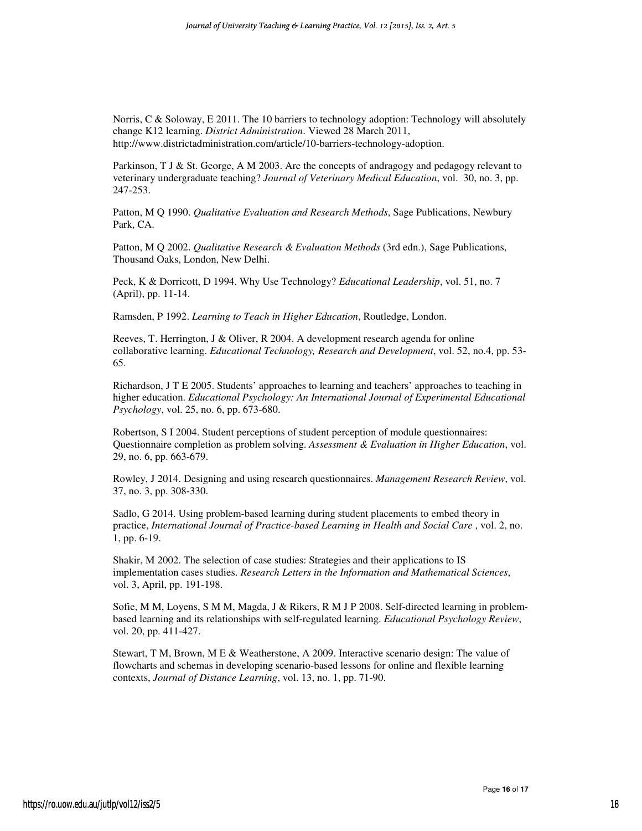Norris, C & Soloway, E 2011. The 10 barriers to technology adoption: Technology will absolutely change K12 learning. *District Administration*. Viewed 28 March 2011, http://www.districtadministration.com/article/10-barriers-technology-adoption.

Parkinson, T J & St. George, A M 2003. Are the concepts of andragogy and pedagogy relevant to veterinary undergraduate teaching? *Journal of Veterinary Medical Education*, vol. 30, no. 3, pp. 247-253.

Patton, M Q 1990. *Qualitative Evaluation and Research Methods*, Sage Publications, Newbury Park, CA.

Patton, M Q 2002. *Qualitative Research & Evaluation Methods* (3rd edn.), Sage Publications, Thousand Oaks, London, New Delhi.

Peck, K & Dorricott, D 1994. Why Use Technology? *Educational Leadership*, vol. 51, no. 7 (April), pp. 11-14.

Ramsden, P 1992. *Learning to Teach in Higher Education*, Routledge, London.

Reeves, T. Herrington, J & Oliver, R 2004. A development research agenda for online collaborative learning. *Educational Technology, Research and Development*, vol. 52, no.4, pp. 53- 65.

Richardson, J T E 2005. Students' approaches to learning and teachers' approaches to teaching in higher education. *Educational Psychology: An International Journal of Experimental Educational Psychology*, vol. 25, no. 6, pp. 673-680.

Robertson, S I 2004. Student perceptions of student perception of module questionnaires: Questionnaire completion as problem solving. *Assessment & Evaluation in Higher Education*, vol. 29, no. 6, pp. 663-679.

Rowley, J 2014. Designing and using research questionnaires. *Management Research Review*, vol. 37, no. 3, pp. 308-330.

Sadlo, G 2014. Using problem-based learning during student placements to embed theory in practice, *International Journal of Practice-based Learning in Health and Social Care* , vol. 2, no. 1, pp. 6-19.

Shakir, M 2002. The selection of case studies: Strategies and their applications to IS implementation cases studies. *Research Letters in the Information and Mathematical Sciences*, vol. 3, April, pp. 191-198.

Sofie, M M, Loyens, S M M, Magda, J & Rikers, R M J P 2008. Self-directed learning in problembased learning and its relationships with self-regulated learning. *Educational Psychology Review*, vol. 20, pp. 411-427.

Stewart, T M, Brown, M E & Weatherstone, A 2009. Interactive scenario design: The value of flowcharts and schemas in developing scenario-based lessons for online and flexible learning contexts, *Journal of Distance Learning*, vol. 13, no. 1, pp. 71-90.